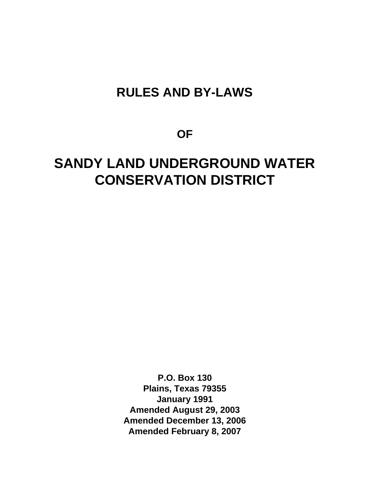# **RULES AND BY-LAWS**

**OF** 

# **SANDY LAND UNDERGROUND WATER CONSERVATION DISTRICT**

**P.O. Box 130 Plains, Texas 79355 January 1991 Amended August 29, 2003 Amended December 13, 2006 Amended February 8, 2007**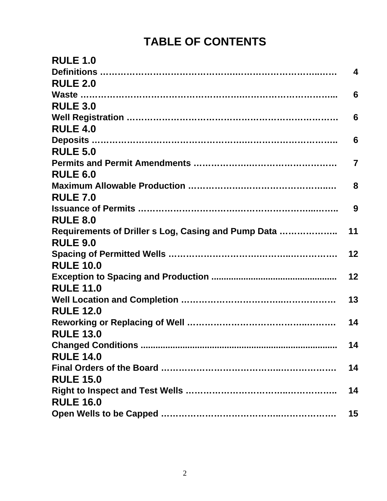# **TABLE OF CONTENTS**

| <b>RULE 1.0</b>                                     |                         |
|-----------------------------------------------------|-------------------------|
|                                                     | $\overline{\mathbf{4}}$ |
| <b>RULE 2.0</b>                                     |                         |
|                                                     | 6                       |
| <b>RULE 3.0</b>                                     |                         |
|                                                     | 6                       |
| <b>RULE 4.0</b>                                     |                         |
|                                                     | 6                       |
| <b>RULE 5.0</b>                                     |                         |
|                                                     | $\overline{7}$          |
| <b>RULE 6.0</b>                                     |                         |
|                                                     | 8                       |
| <b>RULE 7.0</b>                                     |                         |
|                                                     | 9                       |
| <b>RULE 8.0</b>                                     |                         |
| Requirements of Driller s Log, Casing and Pump Data | 11                      |
| <b>RULE 9.0</b>                                     |                         |
|                                                     | 12                      |
| <b>RULE 10.0</b>                                    |                         |
|                                                     | 12                      |
| <b>RULE 11.0</b>                                    |                         |
|                                                     | 13                      |
| <b>RULE 12.0</b>                                    |                         |
|                                                     | 14                      |
| <b>RULE 13.0</b>                                    |                         |
|                                                     | 14                      |
| <b>RULE 14.0</b>                                    |                         |
|                                                     | 14                      |
| <b>RULE 15.0</b>                                    |                         |
|                                                     | 14                      |
| <b>RULE 16.0</b>                                    |                         |
|                                                     | 15                      |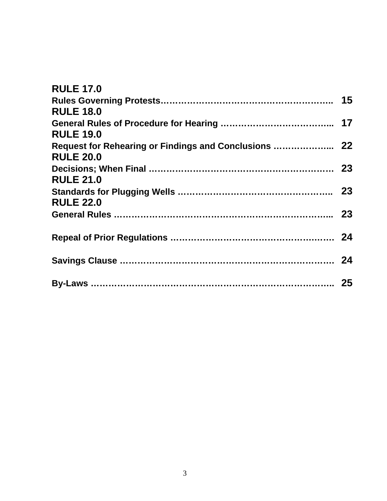| <b>RULE 17.0</b>                                      |  |
|-------------------------------------------------------|--|
|                                                       |  |
| <b>RULE 18.0</b>                                      |  |
|                                                       |  |
| <b>RULE 19.0</b>                                      |  |
| Request for Rehearing or Findings and Conclusions  22 |  |
| <b>RULE 20.0</b>                                      |  |
|                                                       |  |
| <b>RULE 21.0</b>                                      |  |
|                                                       |  |
| <b>RULE 22.0</b>                                      |  |
|                                                       |  |
|                                                       |  |
|                                                       |  |
|                                                       |  |
|                                                       |  |
|                                                       |  |
|                                                       |  |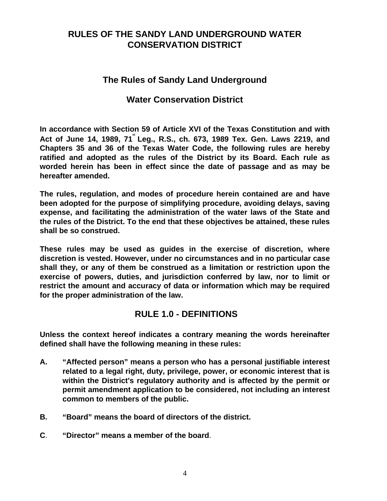# **RULES OF THE SANDY LAND UNDERGROUND WATER CONSERVATION DISTRICT**

## **The Rules of Sandy Land Underground**

## **Water Conservation District**

**In accordance with Section 59 of Article XVI of the Texas Constitution and with**  Act of June 14, 1989, 71<sup>\*</sup> Leg., R.S., ch. 673, 1989 Tex. Gen. Laws 2219, and **Chapters 35 and 36 of the Texas Water Code, the following rules are hereby ratified and adopted as the rules of the District by its Board. Each rule as worded herein has been in effect since the date of passage and as may be hereafter amended.** 

**The rules, regulation, and modes of procedure herein contained are and have been adopted for the purpose of simplifying procedure, avoiding delays, saving expense, and facilitating the administration of the water laws of the State and the rules of the District. To the end that these objectives be attained, these rules shall be so construed.** 

**These rules may be used as guides in the exercise of discretion, where discretion is vested. However, under no circumstances and in no particular case shall they, or any of them be construed as a limitation or restriction upon the exercise of powers, duties, and jurisdiction conferred by law, nor to limit or restrict the amount and accuracy of data or information which may be required for the proper administration of the law.** 

## **RULE 1.0 - DEFINITIONS**

**Unless the context hereof indicates a contrary meaning the words hereinafter defined shall have the following meaning in these rules:** 

- **A. "Affected person" means a person who has a personal justifiable interest related to a legal right, duty, privilege, power, or economic interest that is within the District's regulatory authority and is affected by the permit or permit amendment application to be considered, not including an interest common to members of the public.**
- **B. "Board" means the board of directors of the district.**
- **C**. **"Director" means a member of the board**.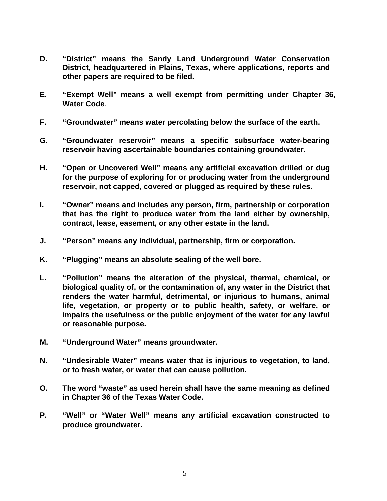- **D. "District" means the Sandy Land Underground Water Conservation District, headquartered in Plains, Texas, where applications, reports and other papers are required to be filed.**
- **E. "Exempt Well" means a well exempt from permitting under Chapter 36, Water Code**.
- **F. "Groundwater" means water percolating below the surface of the earth.**
- **G. "Groundwater reservoir" means a specific subsurface water-bearing reservoir having ascertainable boundaries containing groundwater.**
- **H. "Open or Uncovered Well" means any artificial excavation drilled or dug for the purpose of exploring for or producing water from the underground reservoir, not capped, covered or plugged as required by these rules.**
- **I. "Owner" means and includes any person, firm, partnership or corporation that has the right to produce water from the land either by ownership, contract, lease, easement, or any other estate in the land.**
- **J. "Person" means any individual, partnership, firm or corporation.**
- **K. "Plugging" means an absolute sealing of the well bore.**
- **L. "Pollution" means the alteration of the physical, thermal, chemical, or biological quality of, or the contamination of, any water in the District that renders the water harmful, detrimental, or injurious to humans, animal life, vegetation, or property or to public health, safety, or welfare, or impairs the usefulness or the public enjoyment of the water for any lawful or reasonable purpose.**
- **M. "Underground Water" means groundwater.**
- **N. "Undesirable Water" means water that is injurious to vegetation, to land, or to fresh water, or water that can cause pollution.**
- **O. The word "waste" as used herein shall have the same meaning as defined in Chapter 36 of the Texas Water Code.**
- **P. "Well" or "Water Well" means any artificial excavation constructed to produce groundwater.**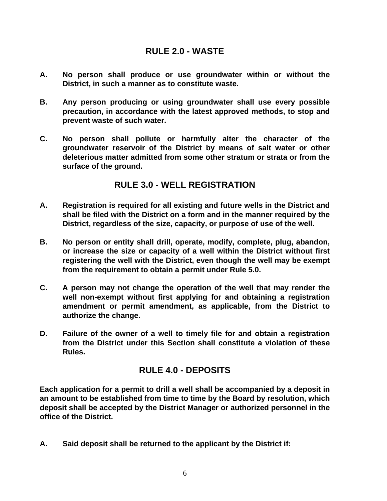## **RULE 2.0 - WASTE**

- **A. No person shall produce or use groundwater within or without the District, in such a manner as to constitute waste.**
- **B. Any person producing or using groundwater shall use every possible precaution, in accordance with the latest approved methods, to stop and prevent waste of such water.**
- **C. No person shall pollute or harmfully alter the character of the groundwater reservoir of the District by means of salt water or other deleterious matter admitted from some other stratum or strata or from the surface of the ground.**

## **RULE 3.0 - WELL REGISTRATION**

- **A. Registration is required for all existing and future wells in the District and shall be filed with the District on a form and in the manner required by the District, regardless of the size, capacity, or purpose of use of the well.**
- **B. No person or entity shall drill, operate, modify, complete, plug, abandon, or increase the size or capacity of a well within the District without first registering the well with the District, even though the well may be exempt from the requirement to obtain a permit under Rule 5.0.**
- **C. A person may not change the operation of the well that may render the well non-exempt without first applying for and obtaining a registration amendment or permit amendment, as applicable, from the District to authorize the change.**
- **D. Failure of the owner of a well to timely file for and obtain a registration from the District under this Section shall constitute a violation of these Rules.**

## **RULE 4.0 - DEPOSITS**

**Each application for a permit to drill a well shall be accompanied by a deposit in an amount to be established from time to time by the Board by resolution, which deposit shall be accepted by the District Manager or authorized personnel in the office of the District.** 

**A. Said deposit shall be returned to the applicant by the District if:**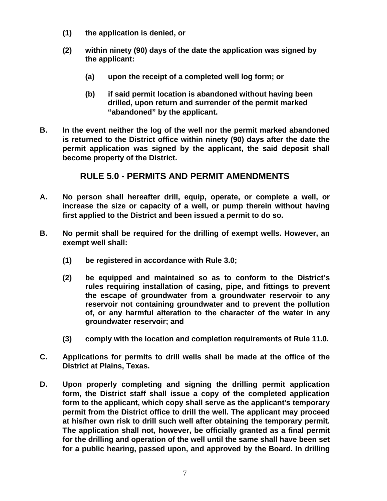- **(1) the application is denied, or**
- **(2) within ninety (90) days of the date the application was signed by the applicant:** 
	- **(a) upon the receipt of a completed well log form; or**
	- **(b) if said permit location is abandoned without having been drilled, upon return and surrender of the permit marked "abandoned" by the applicant.**
- **B. In the event neither the log of the well nor the permit marked abandoned is returned to the District office within ninety (90) days after the date the permit application was signed by the applicant, the said deposit shall become property of the District.**

## **RULE 5.0 - PERMITS AND PERMIT AMENDMENTS**

- **A. No person shall hereafter drill, equip, operate, or complete a well, or increase the size or capacity of a well, or pump therein without having first applied to the District and been issued a permit to do so.**
- **B. No permit shall be required for the drilling of exempt wells. However, an exempt well shall:** 
	- **(1) be registered in accordance with Rule 3.0;**
	- **(2) be equipped and maintained so as to conform to the District's rules requiring installation of casing, pipe, and fittings to prevent the escape of groundwater from a groundwater reservoir to any reservoir not containing groundwater and to prevent the pollution of, or any harmful alteration to the character of the water in any groundwater reservoir; and**
	- **(3) comply with the location and completion requirements of Rule 11.0.**
- **C. Applications for permits to drill wells shall be made at the office of the District at Plains, Texas.**
- **D. Upon properly completing and signing the drilling permit application form, the District staff shall issue a copy of the completed application form to the applicant, which copy shall serve as the applicant's temporary permit from the District office to drill the well. The applicant may proceed at his/her own risk to drill such well after obtaining the temporary permit. The application shall not, however, be officially granted as a final permit for the drilling and operation of the well until the same shall have been set for a public hearing, passed upon, and approved by the Board. In drilling**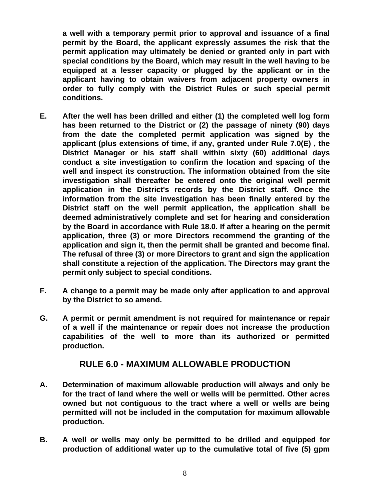**a well with a temporary permit prior to approval and issuance of a final permit by the Board, the applicant expressly assumes the risk that the permit application may ultimately be denied or granted only in part with special conditions by the Board, which may result in the well having to be equipped at a lesser capacity or plugged by the applicant or in the applicant having to obtain waivers from adjacent property owners in order to fully comply with the District Rules or such special permit conditions.** 

- **E. After the well has been drilled and either (1) the completed well log form has been returned to the District or (2) the passage of ninety (90) days from the date the completed permit application was signed by the applicant (plus extensions of time, if any, granted under Rule 7.0(E) , the District Manager or his staff shall within sixty (60) additional days conduct a site investigation to confirm the location and spacing of the well and inspect its construction. The information obtained from the site investigation shall thereafter be entered onto the original well permit application in the District's records by the District staff. Once the information from the site investigation has been finally entered by the District staff on the well permit application, the application shall be deemed administratively complete and set for hearing and consideration by the Board in accordance with Rule 18.0. If after a hearing on the permit application, three (3) or more Directors recommend the granting of the application and sign it, then the permit shall be granted and become final. The refusal of three (3) or more Directors to grant and sign the application shall constitute a rejection of the application. The Directors may grant the permit only subject to special conditions.**
- **F. A change to a permit may be made only after application to and approval by the District to so amend.**
- **G. A permit or permit amendment is not required for maintenance or repair of a well if the maintenance or repair does not increase the production capabilities of the well to more than its authorized or permitted production.**

#### **RULE 6.0 - MAXIMUM ALLOWABLE PRODUCTION**

- **A. Determination of maximum allowable production will always and only be for the tract of land where the well or wells will be permitted. Other acres owned but not contiguous to the tract where a well or wells are being permitted will not be included in the computation for maximum allowable production.**
- **B. A well or wells may only be permitted to be drilled and equipped for production of additional water up to the cumulative total of five (5) gpm**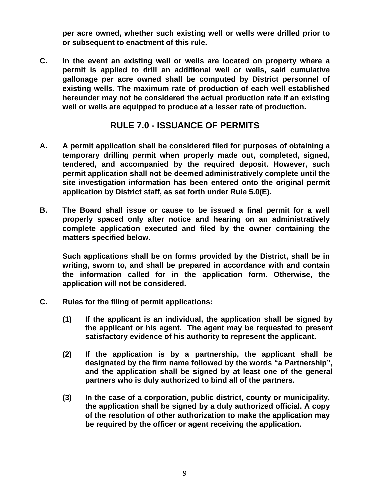**per acre owned, whether such existing well or wells were drilled prior to or subsequent to enactment of this rule.** 

**C. In the event an existing well or wells are located on property where a permit is applied to drill an additional well or wells, said cumulative gallonage per acre owned shall be computed by District personnel of existing wells. The maximum rate of production of each well established hereunder may not be considered the actual production rate if an existing well or wells are equipped to produce at a lesser rate of production.** 

## **RULE 7.0 - ISSUANCE OF PERMITS**

- **A. A permit application shall be considered filed for purposes of obtaining a temporary drilling permit when properly made out, completed, signed, tendered, and accompanied by the required deposit. However, such permit application shall not be deemed administratively complete until the site investigation information has been entered onto the original permit application by District staff, as set forth under Rule 5.0(E).**
- **B. The Board shall issue or cause to be issued a final permit for a well properly spaced only after notice and hearing on an administratively complete application executed and filed by the owner containing the matters specified below.**

**Such applications shall be on forms provided by the District, shall be in writing, sworn to, and shall be prepared in accordance with and contain the information called for in the application form. Otherwise, the application will not be considered.** 

- **C. Rules for the filing of permit applications:** 
	- **(1) If the applicant is an individual, the application shall be signed by the applicant or his agent. The agent may be requested to present satisfactory evidence of his authority to represent the applicant.**
	- **(2) If the application is by a partnership, the applicant shall be designated by the firm name followed by the words "a Partnership", and the application shall be signed by at least one of the general partners who is duly authorized to bind all of the partners.**
	- **(3) In the case of a corporation, public district, county or municipality, the application shall be signed by a duly authorized official. A copy of the resolution of other authorization to make the application may be required by the officer or agent receiving the application.**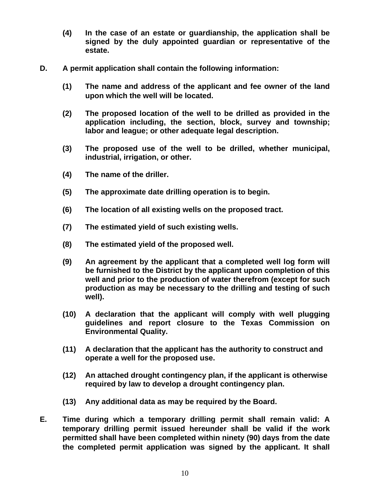- **(4) In the case of an estate or guardianship, the application shall be signed by the duly appointed guardian or representative of the estate.**
- **D. A permit application shall contain the following information:** 
	- **(1) The name and address of the applicant and fee owner of the land upon which the well will be located.**
	- **(2) The proposed location of the well to be drilled as provided in the application including, the section, block, survey and township; labor and league; or other adequate legal description.**
	- **(3) The proposed use of the well to be drilled, whether municipal, industrial, irrigation, or other.**
	- **(4) The name of the driller.**
	- **(5) The approximate date drilling operation is to begin.**
	- **(6) The location of all existing wells on the proposed tract.**
	- **(7) The estimated yield of such existing wells.**
	- **(8) The estimated yield of the proposed well.**
	- **(9) An agreement by the applicant that a completed well log form will be furnished to the District by the applicant upon completion of this well and prior to the production of water therefrom (except for such production as may be necessary to the drilling and testing of such well).**
	- **(10) A declaration that the applicant will comply with well plugging guidelines and report closure to the Texas Commission on Environmental Quality.**
	- **(11) A declaration that the applicant has the authority to construct and operate a well for the proposed use.**
	- **(12) An attached drought contingency plan, if the applicant is otherwise required by law to develop a drought contingency plan.**
	- **(13) Any additional data as may be required by the Board.**
- **E. Time during which a temporary drilling permit shall remain valid: A temporary drilling permit issued hereunder shall be valid if the work permitted shall have been completed within ninety (90) days from the date the completed permit application was signed by the applicant. It shall**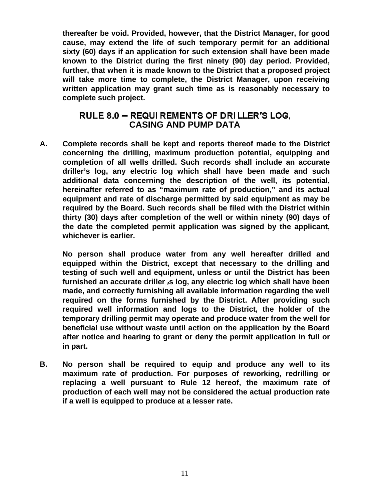**thereafter be void. Provided, however, that the District Manager, for good cause, may extend the life of such temporary permit for an additional sixty (60) days if an application for such extension shall have been made known to the District during the first ninety (90) day period. Provided, further, that when it is made known to the District that a proposed project will take more time to complete, the District Manager, upon receiving written application may grant such time as is reasonably necessary to complete such project.** 

### RULE 8.0 - REQUI REMENTS OF DRI LLER'S LOG. **CASING AND PUMP DATA**

**A. Complete records shall be kept and reports thereof made to the District concerning the drilling, maximum production potential, equipping and completion of all wells drilled. Such records shall include an accurate driller's log, any electric log which shall have been made and such additional data concerning the description of the well, its potential, hereinafter referred to as "maximum rate of production," and its actual equipment and rate of discharge permitted by said equipment as may be required by the Board. Such records shall be filed with the District within thirty (30) days after completion of the well or within ninety (90) days of the date the completed permit application was signed by the applicant, whichever is earlier.** 

**No person shall produce water from any well hereafter drilled and equipped within the District, except that necessary to the drilling and testing of such well and equipment, unless or until the District has been**  furnished an accurate driller is log, any electric log which shall have been **made, and correctly furnishing all available information regarding the well required on the forms furnished by the District. After providing such required well information and logs to the District, the holder of the temporary drilling permit may operate and produce water from the well for beneficial use without waste until action on the application by the Board after notice and hearing to grant or deny the permit application in full or in part.** 

**B. No person shall be required to equip and produce any well to its maximum rate of production. For purposes of reworking, redrilling or replacing a well pursuant to Rule 12 hereof, the maximum rate of production of each well may not be considered the actual production rate if a well is equipped to produce at a lesser rate.**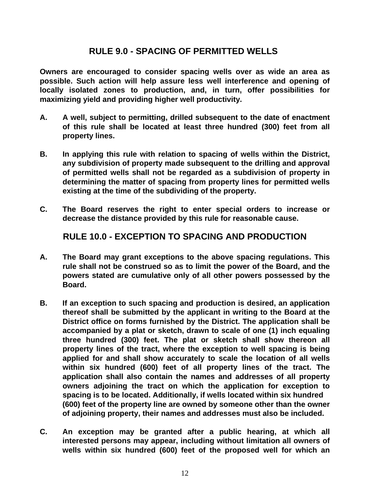## **RULE 9.0 - SPACING OF PERMITTED WELLS**

**Owners are encouraged to consider spacing wells over as wide an area as possible. Such action will help assure less well interference and opening of locally isolated zones to production, and, in turn, offer possibilities for maximizing yield and providing higher well productivity.** 

- **A. A well, subject to permitting, drilled subsequent to the date of enactment of this rule shall be located at least three hundred (300) feet from all property lines.**
- **B. In applying this rule with relation to spacing of wells within the District, any subdivision of property made subsequent to the drilling and approval of permitted wells shall not be regarded as a subdivision of property in determining the matter of spacing from property lines for permitted wells existing at the time of the subdividing of the property.**
- **C. The Board reserves the right to enter special orders to increase or decrease the distance provided by this rule for reasonable cause.**

**RULE 10.0 - EXCEPTION TO SPACING AND PRODUCTION** 

- **A. The Board may grant exceptions to the above spacing regulations. This rule shall not be construed so as to limit the power of the Board, and the powers stated are cumulative only of all other powers possessed by the Board.**
- **B. If an exception to such spacing and production is desired, an application thereof shall be submitted by the applicant in writing to the Board at the District office on forms furnished by the District. The application shall be accompanied by a plat or sketch, drawn to scale of one (1) inch equaling three hundred (300) feet. The plat or sketch shall show thereon all property lines of the tract, where the exception to well spacing is being applied for and shall show accurately to scale the location of all wells within six hundred (600) feet of all property lines of the tract. The application shall also contain the names and addresses of all property owners adjoining the tract on which the application for exception to spacing is to be located. Additionally, if wells located within six hundred (600) feet of the property line are owned by someone other than the owner of adjoining property, their names and addresses must also be included.**
- **C. An exception may be granted after a public hearing, at which all interested persons may appear, including without limitation all owners of wells within six hundred (600) feet of the proposed well for which an**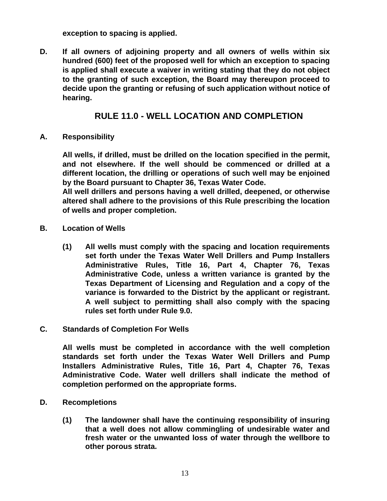**exception to spacing is applied.** 

**D. If all owners of adjoining property and all owners of wells within six hundred (600) feet of the proposed well for which an exception to spacing is applied shall execute a waiver in writing stating that they do not object to the granting of such exception, the Board may thereupon proceed to decide upon the granting or refusing of such application without notice of hearing.** 

## **RULE 11.0 - WELL LOCATION AND COMPLETION**

**A. Responsibility** 

**All wells, if drilled, must be drilled on the location specified in the permit, and not elsewhere. If the well should be commenced or drilled at a different location, the drilling or operations of such well may be enjoined by the Board pursuant to Chapter 36, Texas Water Code.** 

**All well drillers and persons having a well drilled, deepened, or otherwise altered shall adhere to the provisions of this Rule prescribing the location of wells and proper completion.** 

- **B. Location of Wells** 
	- **(1) All wells must comply with the spacing and location requirements set forth under the Texas Water Well Drillers and Pump Installers Administrative Rules, Title 16, Part 4, Chapter 76, Texas Administrative Code, unless a written variance is granted by the Texas Department of Licensing and Regulation and a copy of the variance is forwarded to the District by the applicant or registrant. A well subject to permitting shall also comply with the spacing rules set forth under Rule 9.0.**
- **C. Standards of Completion For Wells**

**All wells must be completed in accordance with the well completion standards set forth under the Texas Water Well Drillers and Pump Installers Administrative Rules, Title 16, Part 4, Chapter 76, Texas Administrative Code. Water well drillers shall indicate the method of completion performed on the appropriate forms.** 

- **D. Recompletions** 
	- **(1) The landowner shall have the continuing responsibility of insuring that a well does not allow commingling of undesirable water and fresh water or the unwanted loss of water through the wellbore to other porous strata.**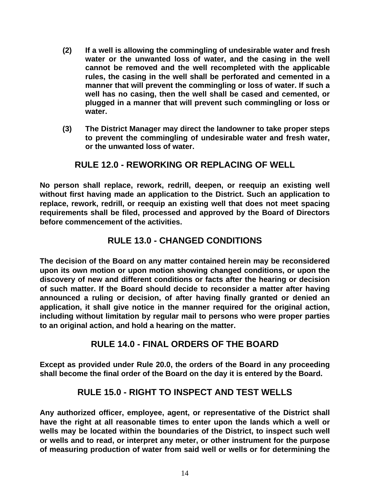- **(2) If a well is allowing the commingling of undesirable water and fresh water or the unwanted loss of water, and the casing in the well cannot be removed and the well recompleted with the applicable rules, the casing in the well shall be perforated and cemented in a manner that will prevent the commingling or loss of water. If such a well has no casing, then the well shall be cased and cemented, or plugged in a manner that will prevent such commingling or loss or water.**
- **(3) The District Manager may direct the landowner to take proper steps to prevent the commingling of undesirable water and fresh water, or the unwanted loss of water.**

## **RULE 12.0 - REWORKING OR REPLACING OF WELL**

**No person shall replace, rework, redrill, deepen, or reequip an existing well without first having made an application to the District. Such an application to replace, rework, redrill, or reequip an existing well that does not meet spacing requirements shall be filed, processed and approved by the Board of Directors before commencement of the activities.** 

## **RULE 13.0 - CHANGED CONDITIONS**

**The decision of the Board on any matter contained herein may be reconsidered upon its own motion or upon motion showing changed conditions, or upon the discovery of new and different conditions or facts after the hearing or decision of such matter. If the Board should decide to reconsider a matter after having announced a ruling or decision, of after having finally granted or denied an application, it shall give notice in the manner required for the original action, including without limitation by regular mail to persons who were proper parties to an original action, and hold a hearing on the matter.** 

## **RULE 14.0 - FINAL ORDERS OF THE BOARD**

**Except as provided under Rule 20.0, the orders of the Board in any proceeding shall become the final order of the Board on the day it is entered by the Board.** 

## **RULE 15.0 - RIGHT TO INSPECT AND TEST WELLS**

**Any authorized officer, employee, agent, or representative of the District shall have the right at all reasonable times to enter upon the lands which a well or wells may be located within the boundaries of the District, to inspect such well or wells and to read, or interpret any meter, or other instrument for the purpose of measuring production of water from said well or wells or for determining the**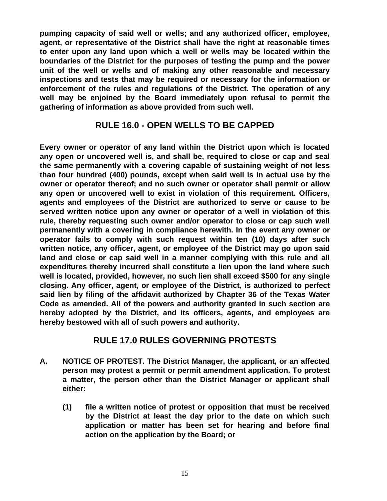**pumping capacity of said well or wells; and any authorized officer, employee, agent, or representative of the District shall have the right at reasonable times to enter upon any land upon which a well or wells may be located within the boundaries of the District for the purposes of testing the pump and the power unit of the well or wells and of making any other reasonable and necessary inspections and tests that may be required or necessary for the information or enforcement of the rules and regulations of the District. The operation of any well may be enjoined by the Board immediately upon refusal to permit the gathering of information as above provided from such well.** 

### **RULE 16.0 - OPEN WELLS TO BE CAPPED**

**Every owner or operator of any land within the District upon which is located any open or uncovered well is, and shall be, required to close or cap and seal the same permanently with a covering capable of sustaining weight of not less than four hundred (400) pounds, except when said well is in actual use by the owner or operator thereof; and no such owner or operator shall permit or allow any open or uncovered well to exist in violation of this requirement. Officers, agents and employees of the District are authorized to serve or cause to be served written notice upon any owner or operator of a well in violation of this rule, thereby requesting such owner and/or operator to close or cap such well permanently with a covering in compliance herewith. In the event any owner or operator fails to comply with such request within ten (10) days after such written notice, any officer, agent, or employee of the District may go upon said land and close or cap said well in a manner complying with this rule and all expenditures thereby incurred shall constitute a lien upon the land where such well is located, provided, however, no such lien shall exceed \$500 for any single closing. Any officer, agent, or employee of the District, is authorized to perfect said lien by filing of the affidavit authorized by Chapter 36 of the Texas Water Code as amended. All of the powers and authority granted in such section are hereby adopted by the District, and its officers, agents, and employees are hereby bestowed with all of such powers and authority.** 

### **RULE 17.0 RULES GOVERNING PROTESTS**

- **A. NOTICE OF PROTEST. The District Manager, the applicant, or an affected person may protest a permit or permit amendment application. To protest a matter, the person other than the District Manager or applicant shall either:** 
	- **(1) file a written notice of protest or opposition that must be received by the District at least the day prior to the date on which such application or matter has been set for hearing and before final action on the application by the Board; or**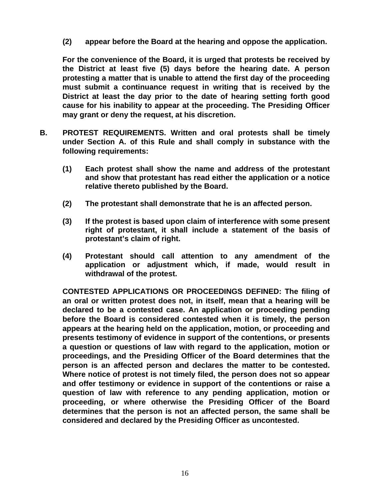**(2) appear before the Board at the hearing and oppose the application.** 

**For the convenience of the Board, it is urged that protests be received by the District at least five (5) days before the hearing date. A person protesting a matter that is unable to attend the first day of the proceeding must submit a continuance request in writing that is received by the District at least the day prior to the date of hearing setting forth good cause for his inability to appear at the proceeding. The Presiding Officer may grant or deny the request, at his discretion.** 

- **B. PROTEST REQUIREMENTS. Written and oral protests shall be timely under Section A. of this Rule and shall comply in substance with the following requirements:** 
	- **(1) Each protest shall show the name and address of the protestant and show that protestant has read either the application or a notice relative thereto published by the Board.**
	- **(2) The protestant shall demonstrate that he is an affected person.**
	- **(3) If the protest is based upon claim of interference with some present right of protestant, it shall include a statement of the basis of protestant's claim of right.**
	- **(4) Protestant should call attention to any amendment of the application or adjustment which, if made, would result in withdrawal of the protest.**

**CONTESTED APPLICATIONS OR PROCEEDINGS DEFINED: The filing of an oral or written protest does not, in itself, mean that a hearing will be declared to be a contested case. An application or proceeding pending before the Board is considered contested when it is timely, the person appears at the hearing held on the application, motion, or proceeding and presents testimony of evidence in support of the contentions, or presents a question or questions of law with regard to the application, motion or proceedings, and the Presiding Officer of the Board determines that the person is an affected person and declares the matter to be contested. Where notice of protest is not timely filed, the person does not so appear and offer testimony or evidence in support of the contentions or raise a question of law with reference to any pending application, motion or proceeding, or where otherwise the Presiding Officer of the Board determines that the person is not an affected person, the same shall be considered and declared by the Presiding Officer as uncontested.**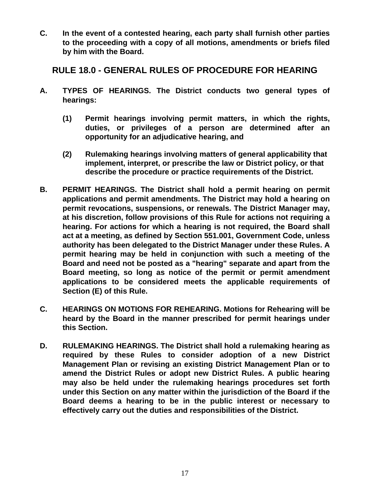**C. In the event of a contested hearing, each party shall furnish other parties to the proceeding with a copy of all motions, amendments or briefs filed by him with the Board.** 

**RULE 18.0 - GENERAL RULES OF PROCEDURE FOR HEARING** 

- **A. TYPES OF HEARINGS. The District conducts two general types of hearings:** 
	- **(1) Permit hearings involving permit matters, in which the rights, duties, or privileges of a person are determined after an opportunity for an adjudicative hearing, and**
	- **(2) Rulemaking hearings involving matters of general applicability that implement, interpret, or prescribe the law or District policy, or that describe the procedure or practice requirements of the District.**
- **B. PERMIT HEARINGS. The District shall hold a permit hearing on permit applications and permit amendments. The District may hold a hearing on permit revocations, suspensions, or renewals. The District Manager may, at his discretion, follow provisions of this Rule for actions not requiring a hearing. For actions for which a hearing is not required, the Board shall act at a meeting, as defined by Section 551.001, Government Code, unless authority has been delegated to the District Manager under these Rules. A permit hearing may be held in conjunction with such a meeting of the Board and need not be posted as a "hearing" separate and apart from the Board meeting, so long as notice of the permit or permit amendment applications to be considered meets the applicable requirements of Section (E) of this Rule.**
- **C. HEARINGS ON MOTIONS FOR REHEARING. Motions for Rehearing will be heard by the Board in the manner prescribed for permit hearings under this Section.**
- **D. RULEMAKING HEARINGS. The District shall hold a rulemaking hearing as required by these Rules to consider adoption of a new District Management Plan or revising an existing District Management Plan or to amend the District Rules or adopt new District Rules. A public hearing may also be held under the rulemaking hearings procedures set forth under this Section on any matter within the jurisdiction of the Board if the Board deems a hearing to be in the public interest or necessary to effectively carry out the duties and responsibilities of the District.**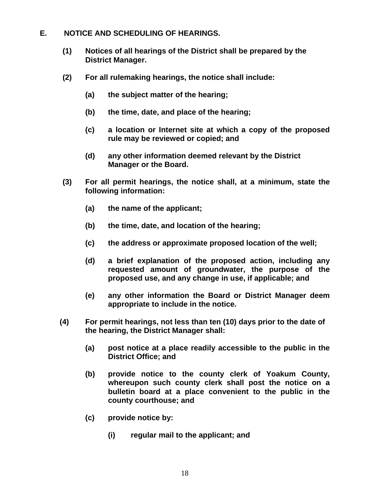- **E. NOTICE AND SCHEDULING OF HEARINGS.** 
	- **(1) Notices of all hearings of the District shall be prepared by the District Manager.**
	- **(2) For all rulemaking hearings, the notice shall include:** 
		- **(a) the subject matter of the hearing;**
		- **(b) the time, date, and place of the hearing;**
		- **(c) a location or Internet site at which a copy of the proposed rule may be reviewed or copied; and**
		- **(d) any other information deemed relevant by the District Manager or the Board.**
	- **(3) For all permit hearings, the notice shall, at a minimum, state the following information:**
		- **(a) the name of the applicant;**
		- **(b) the time, date, and location of the hearing;**
		- **(c) the address or approximate proposed location of the well;**
		- **(d) a brief explanation of the proposed action, including any requested amount of groundwater, the purpose of the proposed use, and any change in use, if applicable; and**
		- **(e) any other information the Board or District Manager deem appropriate to include in the notice.**
	- **(4) For permit hearings, not less than ten (10) days prior to the date of the hearing, the District Manager shall:** 
		- **(a) post notice at a place readily accessible to the public in the District Office; and**
		- **(b) provide notice to the county clerk of Yoakum County, whereupon such county clerk shall post the notice on a bulletin board at a place convenient to the public in the county courthouse; and**
		- **(c) provide notice by:** 
			- **(i) regular mail to the applicant; and**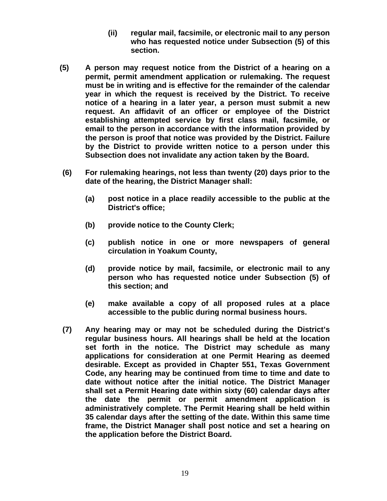- **(ii) regular mail, facsimile, or electronic mail to any person who has requested notice under Subsection (5) of this section.**
- **(5) A person may request notice from the District of a hearing on a permit, permit amendment application or rulemaking. The request must be in writing and is effective for the remainder of the calendar year in which the request is received by the District. To receive notice of a hearing in a later year, a person must submit a new request. An affidavit of an officer or employee of the District establishing attempted service by first class mail, facsimile, or email to the person in accordance with the information provided by the person is proof that notice was provided by the District. Failure by the District to provide written notice to a person under this Subsection does not invalidate any action taken by the Board.**
- **(6) For rulemaking hearings, not less than twenty (20) days prior to the date of the hearing, the District Manager shall:**
	- **(a) post notice in a place readily accessible to the public at the District's office;**
	- **(b) provide notice to the County Clerk;**
	- **(c) publish notice in one or more newspapers of general circulation in Yoakum County,**
	- **(d) provide notice by mail, facsimile, or electronic mail to any person who has requested notice under Subsection (5) of this section; and**
	- **(e) make available a copy of all proposed rules at a place accessible to the public during normal business hours.**
- **(7) Any hearing may or may not be scheduled during the District's regular business hours. All hearings shall be held at the location set forth in the notice. The District may schedule as many applications for consideration at one Permit Hearing as deemed desirable. Except as provided in Chapter 551, Texas Government Code, any hearing may be continued from time to time and date to date without notice after the initial notice. The District Manager shall set a Permit Hearing date within sixty (60) calendar days after the date the permit or permit amendment application is administratively complete. The Permit Hearing shall be held within 35 calendar days after the setting of the date. Within this same time frame, the District Manager shall post notice and set a hearing on the application before the District Board.**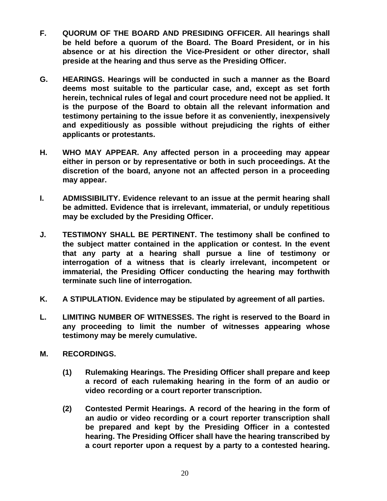- **F. QUORUM OF THE BOARD AND PRESIDING OFFICER. All hearings shall be held before a quorum of the Board. The Board President, or in his absence or at his direction the Vice-President or other director, shall preside at the hearing and thus serve as the Presiding Officer.**
- **G. HEARINGS. Hearings will be conducted in such a manner as the Board deems most suitable to the particular case, and, except as set forth herein, technical rules of legal and court procedure need not be applied. It is the purpose of the Board to obtain all the relevant information and testimony pertaining to the issue before it as conveniently, inexpensively and expeditiously as possible without prejudicing the rights of either applicants or protestants.**
- **H. WHO MAY APPEAR. Any affected person in a proceeding may appear either in person or by representative or both in such proceedings. At the discretion of the board, anyone not an affected person in a proceeding may appear.**
- **I. ADMISSIBILITY. Evidence relevant to an issue at the permit hearing shall be admitted. Evidence that is irrelevant, immaterial, or unduly repetitious may be excluded by the Presiding Officer.**
- **J. TESTIMONY SHALL BE PERTINENT. The testimony shall be confined to the subject matter contained in the application or contest. In the event that any party at a hearing shall pursue a line of testimony or interrogation of a witness that is clearly irrelevant, incompetent or immaterial, the Presiding Officer conducting the hearing may forthwith terminate such line of interrogation.**
- **K. A STIPULATION. Evidence may be stipulated by agreement of all parties.**
- **L. LIMITING NUMBER OF WITNESSES. The right is reserved to the Board in any proceeding to limit the number of witnesses appearing whose testimony may be merely cumulative.**
- **M. RECORDINGS.** 
	- **(1) Rulemaking Hearings. The Presiding Officer shall prepare and keep a record of each rulemaking hearing in the form of an audio or video recording or a court reporter transcription.**
	- **(2) Contested Permit Hearings. A record of the hearing in the form of an audio or video recording or a court reporter transcription shall be prepared and kept by the Presiding Officer in a contested hearing. The Presiding Officer shall have the hearing transcribed by a court reporter upon a request by a party to a contested hearing.**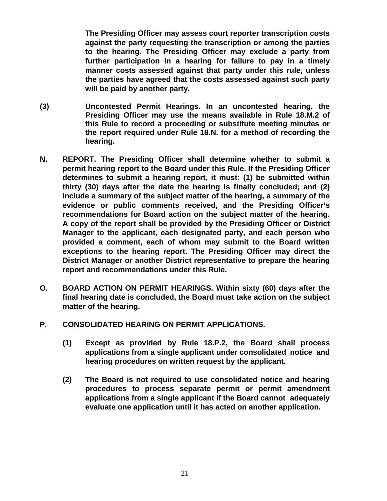**The Presiding Officer may assess court reporter transcription costs against the party requesting the transcription or among the parties to the hearing. The Presiding Officer may exclude a party from further participation in a hearing for failure to pay in a timely manner costs assessed against that party under this rule, unless the parties have agreed that the costs assessed against such party will be paid by another party.** 

- **(3) Uncontested Permit Hearings. In an uncontested hearing, the Presiding Officer may use the means available in Rule 18.M.2 of this Rule to record a proceeding or substitute meeting minutes or the report required under Rule 18.N. for a method of recording the hearing.**
- **N. REPORT. The Presiding Officer shall determine whether to submit a permit hearing report to the Board under this Rule. If the Presiding Officer determines to submit a hearing report, it must: (1) be submitted within thirty (30) days after the date the hearing is finally concluded; and (2) include a summary of the subject matter of the hearing, a summary of the evidence or public comments received, and the Presiding Officer's recommendations for Board action on the subject matter of the hearing. A copy of the report shall be provided by the Presiding Officer or District Manager to the applicant, each designated party, and each person who provided a comment, each of whom may submit to the Board written exceptions to the hearing report. The Presiding Officer may direct the District Manager or another District representative to prepare the hearing report and recommendations under this Rule.**
- **O. BOARD ACTION ON PERMIT HEARINGS. Within sixty (60) days after the final hearing date is concluded, the Board must take action on the subject matter of the hearing.**
- **P. CONSOLIDATED HEARING ON PERMIT APPLICATIONS.** 
	- **(1) Except as provided by Rule 18.P.2, the Board shall process applications from a single applicant under consolidated notice and hearing procedures on written request by the applicant.**
	- **(2) The Board is not required to use consolidated notice and hearing procedures to process separate permit or permit amendment applications from a single applicant if the Board cannot adequately evaluate one application until it has acted on another application.**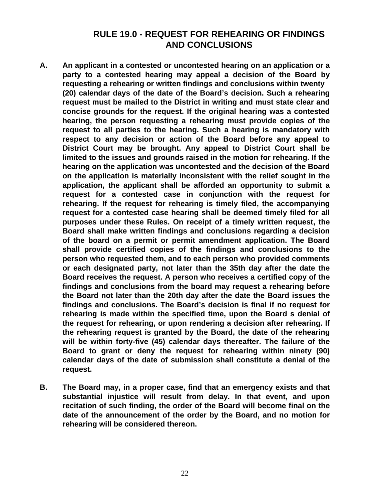## **RULE 19.0 - REQUEST FOR REHEARING OR FINDINGS AND CONCLUSIONS**

- **A. An applicant in a contested or uncontested hearing on an application or a party to a contested hearing may appeal a decision of the Board by requesting a rehearing or written findings and conclusions within twenty (20) calendar days of the date of the Board's decision. Such a rehearing request must be mailed to the District in writing and must state clear and concise grounds for the request. If the original hearing was a contested hearing, the person requesting a rehearing must provide copies of the request to all parties to the hearing. Such a hearing is mandatory with respect to any decision or action of the Board before any appeal to District Court may be brought. Any appeal to District Court shall be limited to the issues and grounds raised in the motion for rehearing. If the hearing on the application was uncontested and the decision of the Board on the application is materially inconsistent with the relief sought in the application, the applicant shall be afforded an opportunity to submit a request for a contested case in conjunction with the request for rehearing. If the request for rehearing is timely filed, the accompanying request for a contested case hearing shall be deemed timely filed for all purposes under these Rules. On receipt of a timely written request, the Board shall make written findings and conclusions regarding a decision of the board on a permit or permit amendment application. The Board shall provide certified copies of the findings and conclusions to the person who requested them, and to each person who provided comments or each designated party, not later than the 35th day after the date the Board receives the request. A person who receives a certified copy of the findings and conclusions from the board may request a rehearing before the Board not later than the 20th day after the date the Board issues the findings and conclusions. The Board's decision is final if no request for rehearing is made within the specified time, upon the Board s denial of the request for rehearing, or upon rendering a decision after rehearing. If the rehearing request is granted by the Board, the date of the rehearing will be within forty-five (45) calendar days thereafter. The failure of the Board to grant or deny the request for rehearing within ninety (90) calendar days of the date of submission shall constitute a denial of the request.**
- **B. The Board may, in a proper case, find that an emergency exists and that substantial injustice will result from delay. In that event, and upon recitation of such finding, the order of the Board will become final on the date of the announcement of the order by the Board, and no motion for rehearing will be considered thereon.**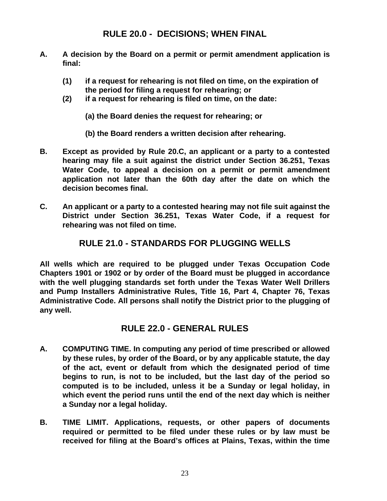## **RULE 20.0 - DECISIONS; WHEN FINAL**

- **A. A decision by the Board on a permit or permit amendment application is final:** 
	- **(1) if a request for rehearing is not filed on time, on the expiration of the period for filing a request for rehearing; or**
	- **(2) if a request for rehearing is filed on time, on the date:**
		- **(a) the Board denies the request for rehearing; or**
		- **(b) the Board renders a written decision after rehearing.**
- **B. Except as provided by Rule 20.C, an applicant or a party to a contested hearing may file a suit against the district under Section 36.251, Texas Water Code, to appeal a decision on a permit or permit amendment application not later than the 60th day after the date on which the decision becomes final.**
- **C. An applicant or a party to a contested hearing may not file suit against the District under Section 36.251, Texas Water Code, if a request for rehearing was not filed on time.**

### **RULE 21.0 - STANDARDS FOR PLUGGING WELLS**

**All wells which are required to be plugged under Texas Occupation Code Chapters 1901 or 1902 or by order of the Board must be plugged in accordance with the well plugging standards set forth under the Texas Water Well Drillers and Pump Installers Administrative Rules, Title 16, Part 4, Chapter 76, Texas Administrative Code. All persons shall notify the District prior to the plugging of any well.** 

### **RULE 22.0 - GENERAL RULES**

- **A. COMPUTING TIME. In computing any period of time prescribed or allowed by these rules, by order of the Board, or by any applicable statute, the day of the act, event or default from which the designated period of time begins to run, is not to be included, but the last day of the period so computed is to be included, unless it be a Sunday or legal holiday, in which event the period runs until the end of the next day which is neither a Sunday nor a legal holiday.**
- **B. TIME LIMIT. Applications, requests, or other papers of documents required or permitted to be filed under these rules or by law must be received for filing at the Board's offices at Plains, Texas, within the time**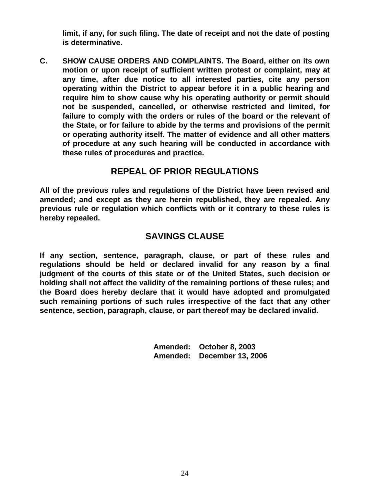**limit, if any, for such filing. The date of receipt and not the date of posting is determinative.** 

**C. SHOW CAUSE ORDERS AND COMPLAINTS. The Board, either on its own motion or upon receipt of sufficient written protest or complaint, may at any time, after due notice to all interested parties, cite any person operating within the District to appear before it in a public hearing and require him to show cause why his operating authority or permit should not be suspended, cancelled, or otherwise restricted and limited, for failure to comply with the orders or rules of the board or the relevant of the State, or for failure to abide by the terms and provisions of the permit or operating authority itself. The matter of evidence and all other matters of procedure at any such hearing will be conducted in accordance with these rules of procedures and practice.** 

## **REPEAL OF PRIOR REGULATIONS**

**All of the previous rules and regulations of the District have been revised and amended; and except as they are herein republished, they are repealed. Any previous rule or regulation which conflicts with or it contrary to these rules is hereby repealed.** 

## **SAVINGS CLAUSE**

**If any section, sentence, paragraph, clause, or part of these rules and regulations should be held or declared invalid for any reason by a final judgment of the courts of this state or of the United States, such decision or holding shall not affect the validity of the remaining portions of these rules; and the Board does hereby declare that it would have adopted and promulgated such remaining portions of such rules irrespective of the fact that any other sentence, section, paragraph, clause, or part thereof may be declared invalid.** 

> **Amended: October 8, 2003 Amended: December 13, 2006**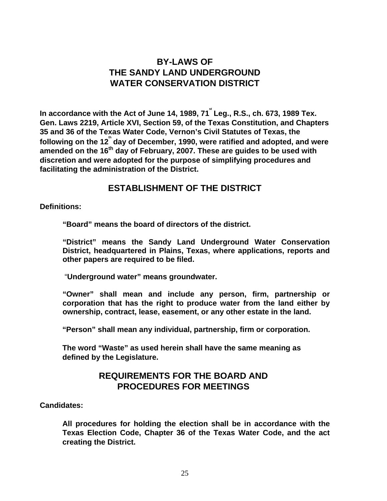## **BY-LAWS OF THE SANDY LAND UNDERGROUND WATER CONSERVATION DISTRICT**

In accordance with the Act of June 14, 1989, 71<sup>\*</sup> Leg., R.S., ch. 673, 1989 Tex. **Gen. Laws 2219, Article XVI, Section 59, of the Texas Constitution, and Chapters 35 and 36 of the Texas Water Code, Vernon's Civil Statutes of Texas, the**  following on the 12<sup>th</sup> day of December, 1990, were ratified and adopted, and were amended on the 16<sup>th</sup> day of February, 2007. These are guides to be used with **discretion and were adopted for the purpose of simplifying procedures and facilitating the administration of the District.** 

#### **ESTABLISHMENT OF THE DISTRICT**

**Definitions:** 

**"Board" means the board of directors of the district.** 

**"District" means the Sandy Land Underground Water Conservation District, headquartered in Plains, Texas, where applications, reports and other papers are required to be filed.**

"**Underground water" means groundwater.** 

**"Owner" shall mean and include any person, firm, partnership or corporation that has the right to produce water from the land either by ownership, contract, lease, easement, or any other estate in the land.** 

**"Person" shall mean any individual, partnership, firm or corporation.** 

**The word "Waste" as used herein shall have the same meaning as defined by the Legislature.** 

### **REQUIREMENTS FOR THE BOARD AND PROCEDURES FOR MEETINGS**

#### **Candidates:**

**All procedures for holding the election shall be in accordance with the Texas Election Code, Chapter 36 of the Texas Water Code, and the act creating the District.**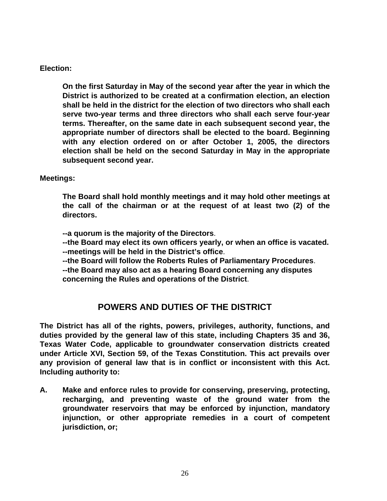#### **Election:**

**On the first Saturday in May of the second year after the year in which the District is authorized to be created at a confirmation election, an election shall be held in the district for the election of two directors who shall each serve two-year terms and three directors who shall each serve four-year terms. Thereafter, on the same date in each subsequent second year, the appropriate number of directors shall be elected to the board. Beginning with any election ordered on or after October 1, 2005, the directors election shall be held on the second Saturday in May in the appropriate subsequent second year.** 

#### **Meetings:**

**The Board shall hold monthly meetings and it may hold other meetings at the call of the chairman or at the request of at least two (2) of the directors.** 

**--a quorum is the majority of the Directors**.

**--the Board may elect its own officers yearly, or when an office is vacated.** 

**--meetings will be held in the District's office**.

**--the Board will follow the Roberts Rules of Parliamentary Procedures**.

**--the Board may also act as a hearing Board concerning any disputes concerning the Rules and operations of the District**.

## **POWERS AND DUTIES OF THE DISTRICT**

**The District has all of the rights, powers, privileges, authority, functions, and duties provided by the general law of this state, including Chapters 35 and 36, Texas Water Code, applicable to groundwater conservation districts created under Article XVI, Section 59, of the Texas Constitution. This act prevails over any provision of general law that is in conflict or inconsistent with this Act. Including authority to:** 

**A. Make and enforce rules to provide for conserving, preserving, protecting, recharging, and preventing waste of the ground water from the groundwater reservoirs that may be enforced by injunction, mandatory injunction, or other appropriate remedies in a court of competent jurisdiction, or;**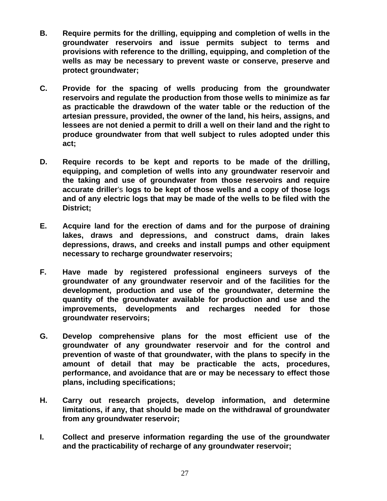- **B. Require permits for the drilling, equipping and completion of wells in the groundwater reservoirs and issue permits subject to terms and provisions with reference to the drilling, equipping, and completion of the wells as may be necessary to prevent waste or conserve, preserve and protect groundwater;**
- **C. Provide for the spacing of wells producing from the groundwater reservoirs and regulate the production from those wells to minimize as far as practicable the drawdown of the water table or the reduction of the artesian pressure, provided, the owner of the land, his heirs, assigns, and lessees are not denied a permit to drill a well on their land and the right to produce groundwater from that well subject to rules adopted under this act;**
- **D. Require records to be kept and reports to be made of the drilling, equipping, and completion of wells into any groundwater reservoir and the taking and use of groundwater from those reservoirs and require accurate driller**'s **logs to be kept of those wells and a copy of those logs and of any electric logs that may be made of the wells to be filed with the District;**
- **E. Acquire land for the erection of dams and for the purpose of draining lakes, draws and depressions, and construct dams, drain lakes depressions, draws, and creeks and install pumps and other equipment necessary to recharge groundwater reservoirs;**
- **F. Have made by registered professional engineers surveys of the groundwater of any groundwater reservoir and of the facilities for the development, production and use of the groundwater, determine the quantity of the groundwater available for production and use and the improvements, developments and recharges needed for those groundwater reservoirs;**
- **G. Develop comprehensive plans for the most efficient use of the groundwater of any groundwater reservoir and for the control and prevention of waste of that groundwater, with the plans to specify in the amount of detail that may be practicable the acts, procedures, performance, and avoidance that are or may be necessary to effect those plans, including specifications;**
- **H. Carry out research projects, develop information, and determine limitations, if any, that should be made on the withdrawal of groundwater from any groundwater reservoir;**
- **I. Collect and preserve information regarding the use of the groundwater and the practicability of recharge of any groundwater reservoir;**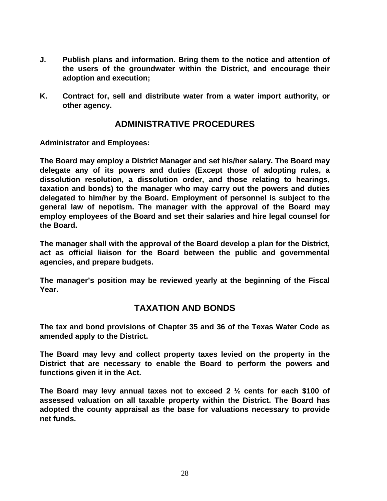- **J. Publish plans and information. Bring them to the notice and attention of the users of the groundwater within the District, and encourage their adoption and execution;**
- **K. Contract for, sell and distribute water from a water import authority, or other agency.**

## **ADMINISTRATIVE PROCEDURES**

**Administrator and Employees:** 

**The Board may employ a District Manager and set his/her salary. The Board may delegate any of its powers and duties (Except those of adopting rules, a dissolution resolution, a dissolution order, and those relating to hearings, taxation and bonds) to the manager who may carry out the powers and duties delegated to him/her by the Board. Employment of personnel is subject to the general law of nepotism. The manager with the approval of the Board may employ employees of the Board and set their salaries and hire legal counsel for the Board.** 

**The manager shall with the approval of the Board develop a plan for the District, act as official liaison for the Board between the public and governmental agencies, and prepare budgets.** 

**The manager's position may be reviewed yearly at the beginning of the Fiscal Year.** 

## **TAXATION AND BONDS**

**The tax and bond provisions of Chapter 35 and 36 of the Texas Water Code as amended apply to the District.** 

**The Board may levy and collect property taxes levied on the property in the District that are necessary to enable the Board to perform the powers and functions given it in the Act.** 

**The Board may levy annual taxes not to exceed 2 ½ cents for each \$100 of assessed valuation on all taxable property within the District. The Board has adopted the county appraisal as the base for valuations necessary to provide net funds.**